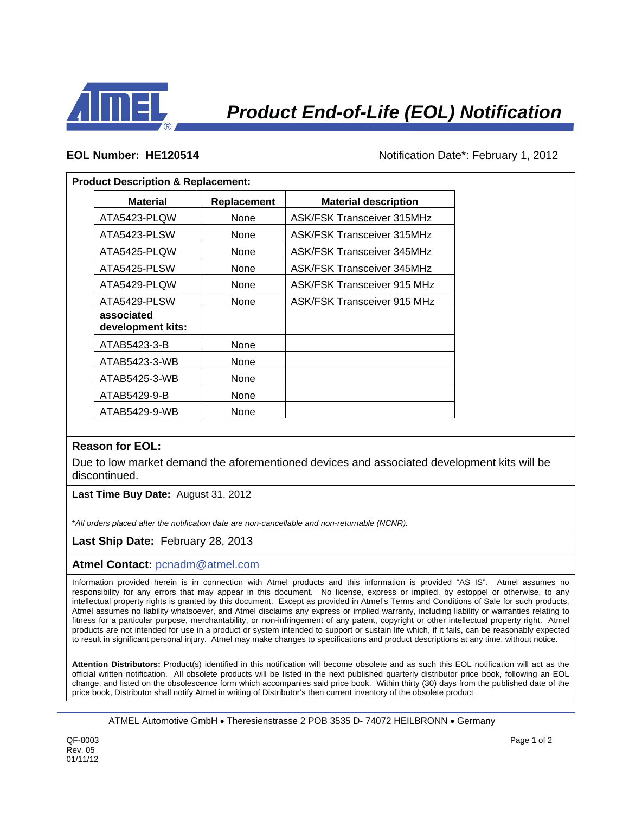

**EOL Number: HE120514 Notification Date\*: February 1, 2012** 

## **Product Description & Replacement:**

| <b>Material</b>                 | Replacement | <b>Material description</b>        |
|---------------------------------|-------------|------------------------------------|
| ATA5423-PLQW                    | None        | <b>ASK/FSK Transceiver 315MHz</b>  |
| ATA5423-PLSW                    | None        | <b>ASK/FSK Transceiver 315MHz</b>  |
| ATA5425-PLQW                    | None        | <b>ASK/FSK Transceiver 345MHz</b>  |
| ATA5425-PLSW                    | None        | <b>ASK/FSK Transceiver 345MHz</b>  |
| ATA5429-PLQW                    | None        | <b>ASK/FSK Transceiver 915 MHz</b> |
| ATA5429-PLSW                    | None        | <b>ASK/FSK Transceiver 915 MHz</b> |
| associated<br>development kits: |             |                                    |
| ATAB5423-3-B                    | None        |                                    |
| ATAB5423-3-WB                   | None        |                                    |
| ATAB5425-3-WB                   | None        |                                    |
| ATAB5429-9-B                    | None        |                                    |
| ATAB5429-9-WB                   | None        |                                    |

## **Reason for EOL:**

Due to low market demand the aforementioned devices and associated development kits will be discontinued.

**Last Time Buy Date:** August 31, 2012

\**All orders placed after the notification date are non-cancellable and non-returnable (NCNR).*

## **Last Ship Date:** February 28, 2013

**Atmel Contact:** pcnadm@atmel.com

Information provided herein is in connection with Atmel products and this information is provided "AS IS". Atmel assumes no responsibility for any errors that may appear in this document. No license, express or implied, by estoppel or otherwise, to any intellectual property rights is granted by this document. Except as provided in Atmel's Terms and Conditions of Sale for such products, Atmel assumes no liability whatsoever, and Atmel disclaims any express or implied warranty, including liability or warranties relating to fitness for a particular purpose, merchantability, or non-infringement of any patent, copyright or other intellectual property right. Atmel products are not intended for use in a product or system intended to support or sustain life which, if it fails, can be reasonably expected to result in significant personal injury. Atmel may make changes to specifications and product descriptions at any time, without notice.

**Attention Distributors:** Product(s) identified in this notification will become obsolete and as such this EOL notification will act as the official written notification. All obsolete products will be listed in the next published quarterly distributor price book, following an EOL change, and listed on the obsolescence form which accompanies said price book. Within thirty (30) days from the published date of the price book, Distributor shall notify Atmel in writing of Distributor's then current inventory of the obsolete product

ATMEL Automotive GmbH • Theresienstrasse 2 POB 3535 D- 74072 HEILBRONN • Germany